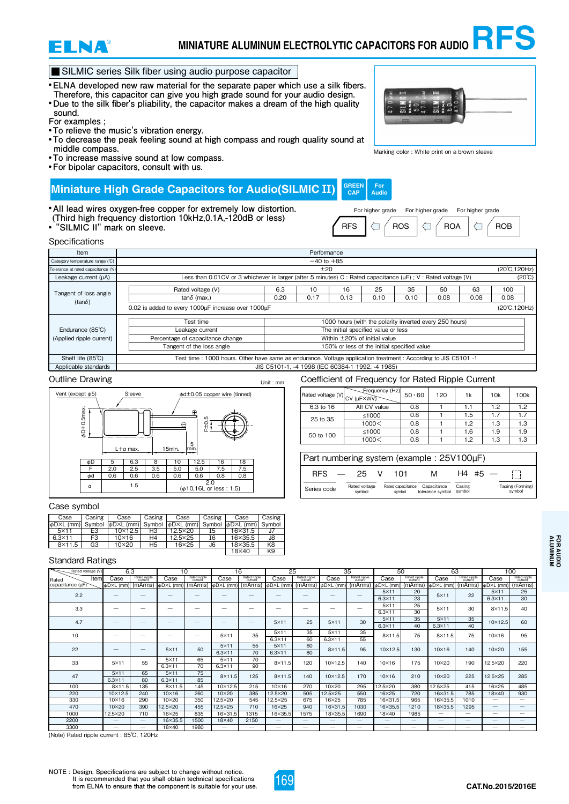

# **MINIATURE ALUMINUM ELECTROLYTIC CAPACITORS FOR AUDIO RFS**

# SILMIC series Silk fiber using audio purpose capacitor

- **● ELNA developed new raw material for the separate paper which use a silk fibers. Therefore, this capacitor can give you high grade sound for your audio design.**
- **● Due to the silk fiber's pliability, the capacitor makes a dream of the high quality sound.**

**For examples ;**

- **● To relieve the music's vibration energy.**
- **● To decrease the peak feeling sound at high compass and rough quality sound at middle compass.**
- **● To increase massive sound at low compass.**
- **● For bipolar capacitors, consult with us.**

#### **Miniature High Grade Capacitors for Audio(SILMIC** ⅠⅠ**) GREE CAP**

- **● All lead wires oxygen-free copper for extremely low distortion.**
- **(Third high frequency distortion 10kHz,0.1A,-120dB or less)**
- 



Marking color : White print on a brown sleeve

**Example in the upper of the UP of SILMIC II"** mark on sleeve.<br> **FIGURE 11'** mark on sleeve. For higher grade For higher grade For higher grade

**For Audio**





### Outline Drawing



#### Case symbol

| Casing<br>Case |        | Case                           | Casing | Case      | Casing | Case                        | Casing |  |
|----------------|--------|--------------------------------|--------|-----------|--------|-----------------------------|--------|--|
| dD×L (mm)      | Symbol | $  \phi$ D $\times$ L $(mm)$ l | Symbol | ΦDXL (mm) | Symbol | <b>the D</b> ×L<br>- $(mm)$ | Symbol |  |
| $5\times11$    | E3     | $10\times12.5$                 | HЗ     | 12.5×20   | I5     | 16×31.5                     | J7     |  |
| $6.3\times11$  | F3     | $10\times16$                   | H4     | 12.5×25   | Ι6     | 16×35.5                     | J8     |  |
| $8\times11.5$  | G3     | 10×20                          | H5     | 16×25     | J6     | 18×35.5                     | K8     |  |
|                |        |                                |        |           |        | $18\times 40$               | K9     |  |

#### Unit: mm Coefficient of Frequency for Rated Ripple Current Rated voltage (V) **Frequency (H** 6.3 to 16 25 to 35 All CV value  $50.60$  120 1 1 1k 10k 100k 0.8 1.1 1.2 1.2 0.8 | 1 | 1.5 | 1.7 | 1.7 CV (µF×WV) ≤1000

| Part numbering system (example: 25V100uF) |        |     |  |     |     |     |  |  |  |
|-------------------------------------------|--------|-----|--|-----|-----|-----|--|--|--|
|                                           | 1000 < | 0.8 |  | 12  | 1.3 | 1.3 |  |  |  |
| 50 to 100                                 | ≤1000  | 0.8 |  | 1.6 | 1.9 | 1.9 |  |  |  |
| <u>LU IU UU</u>                           | 1000 < | 0.8 |  | 12  | 1.3 | 1.3 |  |  |  |

| <b>RFS</b>  | 25                      | 1 N 1                       | M                               |                  | #5 |                            |
|-------------|-------------------------|-----------------------------|---------------------------------|------------------|----|----------------------------|
| Series code | Rated voltage<br>symbol | Rated capacitance<br>symbol | Capacitance<br>tolerance symbol | Casing<br>symbol |    | Taping (Forming)<br>symbol |

| Case          | Casing | Case           | Casing | Case           | Casing | Case                           | Casing         |  |
|---------------|--------|----------------|--------|----------------|--------|--------------------------------|----------------|--|
| φD×L (mm)     | Symbol | φD×L (mm)      | Symbol | dDXL (mm)      | Symbol | $ $ $\phi$ D $\times$ L $(mm)$ | Symbol         |  |
| $5\times11$   | E3     | $10\times12.5$ | HЗ     | 12.5×20        | I5     | 16×31.5                        | J7             |  |
| $6.3\times11$ | F3     | $10\times16$   | H4     | $12.5\times25$ | I6     | 16×35.5                        | J8             |  |
| $8\times11.5$ | G3     | 10×20          | H5     | 16×25          | J6     | 18×35.5                        | K <sub>8</sub> |  |
|               |        |                |        |                |        | $18\times40$                   | ĸq             |  |

# Standard Ratings

|                   |                   |                          |                       |                         |                          |                         | 25                |                          |                          |                         |                                |                         |                 |                         |                          |                          |     |              |    |
|-------------------|-------------------|--------------------------|-----------------------|-------------------------|--------------------------|-------------------------|-------------------|--------------------------|--------------------------|-------------------------|--------------------------------|-------------------------|-----------------|-------------------------|--------------------------|--------------------------|-----|--------------|----|
| Rated voltage (V) | 6.3               |                          |                       | 10                      |                          | 16                      |                   |                          |                          | 35                      | 50                             |                         | 63              |                         | 100                      |                          |     |              |    |
| Item<br>Rated     | Case              | Rated ripple<br>current  | Case                  | Rated ripple<br>current | Case                     | Rated ripple<br>current | Case              | Rated ripple<br>current  | Case                     | Rated ripple<br>current | Case                           | Rated ripple<br>current | Case            | Rated ripple<br>current | Case                     | Rated ripple<br>current  |     |              |    |
| capacitance (µF)  | dD×L (mm)         | (mArms)                  | $d$ D $\times$ L (mm) | (mArms)                 | $\phi$ D $\times$ L (mm) | (mArms)                 | φD×L (mm)         | (mArms)                  | $\phi$ D $\times$ L (mm) | (mArms)                 | $ $ $\phi$ D $\times$ L $(mm)$ | (mArms)                 | ΦD×L (mm        | (mArms)                 | ΦDXL (mm)                | (mArms)                  |     |              |    |
| 2.2               | –                 |                          | _                     |                         | _                        | _                       |                   | –                        | —                        |                         | $5\times11$                    | 20                      | $5\times11$     | 22                      | $5\times11$              | 25                       |     |              |    |
|                   |                   |                          |                       |                         |                          |                         |                   |                          |                          |                         | $6.3\times11$                  | 23                      |                 |                         | $6.3\times11$            | 30                       |     |              |    |
| 3.3               |                   | $\overline{\phantom{a}}$ | _                     | _                       | _                        | –                       | _                 | $\overline{\phantom{a}}$ | —                        |                         | $5\times11$                    | 25                      | 5×11            | 30                      | $8\times11.5$            | 40                       |     |              |    |
|                   |                   |                          |                       |                         |                          |                         |                   |                          |                          |                         | $6.3\times11$                  | 30                      |                 |                         |                          |                          |     |              |    |
| 4.7               |                   | -                        |                       |                         |                          | –                       | $5\times11$       | 25                       | $5\times11$              | 30                      | $5\times11$                    | 35                      | $5\times11$     | 35                      | 10×12.5                  | 60                       |     |              |    |
|                   |                   |                          |                       |                         |                          |                         |                   |                          |                          |                         | $6.3\times11$                  | 40                      | $6.3 \times 11$ | 40                      |                          |                          |     |              |    |
| 10                | –                 |                          | –                     |                         |                          |                         | —                 | $5\times11$              | 35                       | $5\times11$             | 35                             | 5x11                    | 35              | $8\times11.5$           | 75                       | $8\times11.5$            | 75  | $10\times16$ | 95 |
|                   |                   |                          |                       |                         |                          |                         |                   | $6.3\times11$            | 60                       | $6.3\times11$           | 55                             |                         |                 |                         |                          |                          |     |              |    |
| 22                | _                 | $\overline{\phantom{a}}$ | $5\times11$           |                         | 50                       | $5\times11$             | 55                | $5\times11$              | 60                       | $8\times11.5$           | 95                             | 10×12.5                 | 130             | $10\times16$            | 140                      | 10×20                    | 155 |              |    |
|                   |                   |                          |                       |                         |                          |                         | $6.3 \times 11$   | 70                       | $6.3\times11$            | 80                      |                                |                         |                 |                         |                          |                          |     |              |    |
| 33                | 55<br>$5\times11$ |                          | $5\times11$           | 65                      | $5\times11$              | 70                      | $8\times11.5$     | 120                      | 10×12.5                  | 140                     | $10\times16$                   | 175                     | $10\times20$    | 190                     | 12.5×20                  | 220                      |     |              |    |
|                   |                   |                          | $6.3\times11$         | 70                      | $6.3 \times 11$          | 90                      |                   |                          |                          |                         |                                |                         |                 |                         |                          |                          |     |              |    |
| 47                | $5\times11$       | 65                       | $5\times11$           | 75                      | $8\times11.5$            | 125                     | $8\times11.5$     | 140                      | 170<br>10×12.5           |                         | $10\times16$                   | 210                     | 10×20           | 225                     | 12.5×25                  | 285                      |     |              |    |
|                   | $6.3\times11$     | 80                       | $6.3 \times 11$       | 85                      |                          |                         |                   |                          |                          |                         |                                |                         |                 |                         |                          |                          |     |              |    |
| 100               | 8×11.5            | 135                      | $8\times11.5$         | 145                     | 10×12.5                  | 215                     | $10\times16$      | 270                      | 10×20                    | 295                     | 12.5×20                        | 380                     | 12.5×25         | 415                     | 16×25                    | 485                      |     |              |    |
| 220               | 10×12.5           | 240                      | $10\times16$          | 260                     | $10\times20$             | 385                     | 12.5×20           | 505                      | 12.5×25                  | 550                     | 16×25                          | 720                     | 16×31.5         | 785                     | 18×40                    | 930                      |     |              |    |
| 330               | $10\times16$      | 290                      | 10×20                 | 350                     | 12.5×20                  | 545                     | 12.5×25           | 675                      | 16×25                    | 785                     | 16×31.5                        | 965                     | 16×35.5         | 1010                    | $\overline{\phantom{0}}$ |                          |     |              |    |
| 470               | $10\times20$      | 390                      | 12.5×20               | 455                     | 12.5×25                  | 710                     | 16×25             | 940                      | 16×31.5                  | 1030                    | 16×35.5                        | 1210                    | 18×35.5         | 1295                    |                          |                          |     |              |    |
| 1000              | 12.5×20           | 710                      | 16×25                 | 835                     | 16×31.5                  | 1315                    | 16×35.5           | 1575                     | 18×35.5                  | 1690                    | 18×40                          | 1985                    |                 |                         | –                        |                          |     |              |    |
| 2200              |                   |                          | 16×35.5               | 1500                    | $18\times 40$            | 2150                    | $\qquad \qquad -$ |                          |                          |                         |                                |                         |                 |                         |                          | $\overline{\phantom{a}}$ |     |              |    |
| 3300              |                   |                          | 18×40                 | 1980                    | $\overline{\phantom{0}}$ | —                       | —                 | –                        | —                        |                         | -                              | —                       | _               | _                       | –                        |                          |     |              |    |

(Note) Rated ripple current : 85℃, 120Hz